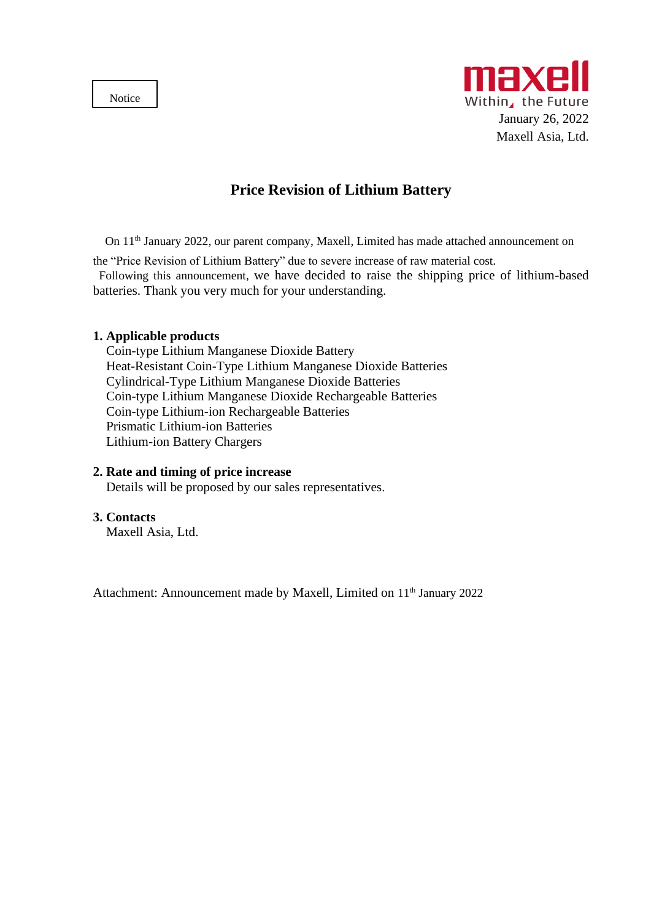Notice



# **Price Revision of Lithium Battery**

On 11th January 2022, our parent company, Maxell, Limited has made attached announcement on

the "Price Revision of Lithium Battery" due to severe increase of raw material cost.

Following this announcement, we have decided to raise the shipping price of lithium-based batteries. Thank you very much for your understanding.

### **1. Applicable products**

Coin-type Lithium Manganese Dioxide Battery Heat-Resistant Coin-Type Lithium Manganese Dioxide Batteries Cylindrical-Type Lithium Manganese Dioxide Batteries Coin-type Lithium Manganese Dioxide Rechargeable Batteries Coin-type Lithium-ion Rechargeable Batteries Prismatic Lithium-ion Batteries Lithium-ion Battery Chargers

#### **2. Rate and timing of price increase**

Details will be proposed by our sales representatives.

### **3. Contacts**

Maxell Asia, Ltd.

Attachment: Announcement made by Maxell, Limited on 11<sup>th</sup> January 2022